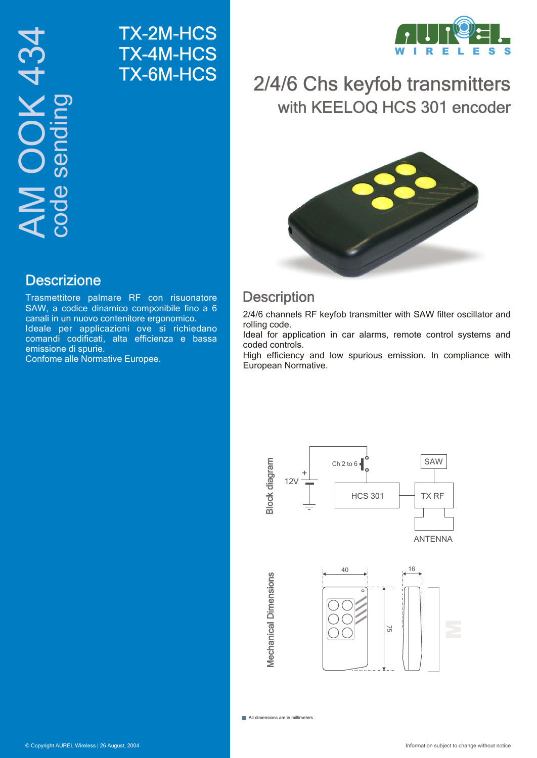TX-2M-HCS TX-4M-HCS TX-6M-HCS



# 2/4/6 Chs keyfob transmitters with KEELOQ HCS 301 encoder



## **Description**

2/4/6 channels RF keyfob transmitter with SAW filter oscillator and rolling code.

Ideal for application in car alarms, remote control systems and coded controls.

High efficiency and low spurious emission. In compliance with European Normative.



#### All dimensions are in millimeters

## **Descrizione**

Trasmettitore palmare RF con risuonatore SAW, a codice dinamico componibile fino a 6 canali in un nuovo contenitore ergonomico. Ideale per applicazioni ove si richiedano comandi codificati, alta efficienza e bassa emissione di spurie.

Confome alle Normative Europee.